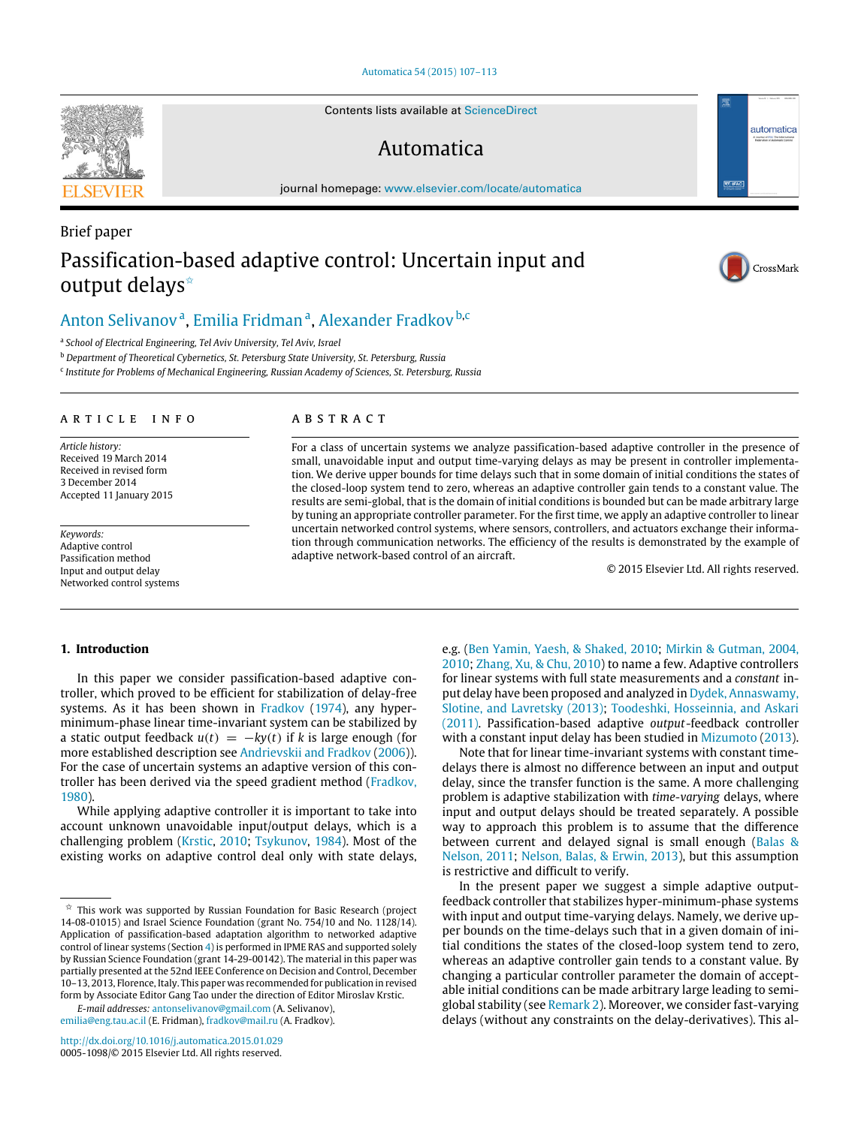#### [Automatica 54 \(2015\) 107–113](http://dx.doi.org/10.1016/j.automatica.2015.01.029)

Contents lists available at [ScienceDirect](http://www.elsevier.com/locate/automatica)

## Automatica

journal homepage: [www.elsevier.com/locate/automatica](http://www.elsevier.com/locate/automatica)

# Brief paper Passification-based adaptive control: Uncertain input and output delays<sup>\*</sup>

## [Anton Selivanov](#page-6-0)<sup>[a](#page-0-1)</sup>, [Emilia Fridman](#page-6-1)<sup>a</sup>, [Alexander Fradkov](#page-6-2)<sup>[b](#page-0-2).c</sup>

<span id="page-0-1"></span>a *School of Electrical Engineering, Tel Aviv University, Tel Aviv, Israel*

<span id="page-0-2"></span><sup>b</sup> *Department of Theoretical Cybernetics, St. Petersburg State University, St. Petersburg, Russia*

<span id="page-0-3"></span>c *Institute for Problems of Mechanical Engineering, Russian Academy of Sciences, St. Petersburg, Russia*

#### ARTICLE INFO

*Article history:* Received 19 March 2014 Received in revised form 3 December 2014 Accepted 11 January 2015

*Keywords:* Adaptive control Passification method Input and output delay Networked control systems

#### A B S T R A C T

For a class of uncertain systems we analyze passification-based adaptive controller in the presence of small, unavoidable input and output time-varying delays as may be present in controller implementation. We derive upper bounds for time delays such that in some domain of initial conditions the states of the closed-loop system tend to zero, whereas an adaptive controller gain tends to a constant value. The results are semi-global, that is the domain of initial conditions is bounded but can be made arbitrary large by tuning an appropriate controller parameter. For the first time, we apply an adaptive controller to linear uncertain networked control systems, where sensors, controllers, and actuators exchange their information through communication networks. The efficiency of the results is demonstrated by the example of adaptive network-based control of an aircraft.

© 2015 Elsevier Ltd. All rights reserved.

#### **1. Introduction**

In this paper we consider passification-based adaptive controller, which proved to be efficient for stabilization of delay-free systems. As it has been shown in [Fradkov](#page-5-0) [\(1974\)](#page-5-0), any hyperminimum-phase linear time-invariant system can be stabilized by a static output feedback  $u(t) = -ky(t)$  if *k* is large enough (for more established description see [Andrievskii](#page-5-1) [and](#page-5-1) [Fradkov](#page-5-1) [\(2006\)](#page-5-1)). For the case of uncertain systems an adaptive version of this controller has been derived via the speed gradient method [\(Fradkov,](#page-5-2) [1980\)](#page-5-2).

While applying adaptive controller it is important to take into account unknown unavoidable input/output delays, which is a challenging problem [\(Krstic,](#page-5-3) [2010;](#page-5-3) [Tsykunov,](#page-6-3) [1984\)](#page-6-3). Most of the existing works on adaptive control deal only with state delays,

*E-mail addresses:* [antonselivanov@gmail.com](mailto:antonselivanov@gmail.com) (A. Selivanov), [emilia@eng.tau.ac.il](mailto:emilia@eng.tau.ac.il) (E. Fridman), [fradkov@mail.ru](mailto:fradkov@mail.ru) (A. Fradkov).

e.g. [\(Ben](#page-5-4) [Yamin,](#page-5-4) [Yaesh,](#page-5-4) [&](#page-5-4) [Shaked,](#page-5-4) [2010;](#page-5-4) [Mirkin](#page-5-5) [&](#page-5-5) [Gutman,](#page-5-5) [2004,](#page-5-5) [2010;](#page-5-6) [Zhang,](#page-6-4) [Xu,](#page-6-4) [&](#page-6-4) [Chu,](#page-6-4) [2010\)](#page-6-4) to name a few. Adaptive controllers for linear systems with full state measurements and a *constant* input delay have been proposed and analyzed in [Dydek,](#page-5-7) [Annaswamy,](#page-5-7) [Slotine,](#page-5-7) [and](#page-5-7) [Lavretsky](#page-5-7) [\(2013\);](#page-5-7) [Toodeshki,](#page-6-5) [Hosseinnia,](#page-6-5) [and](#page-6-5) [Askari](#page-6-5) [\(2011\).](#page-6-5) Passification-based adaptive *output*-feedback controller with a constant input delay has been studied in [Mizumoto](#page-5-8) [\(2013\)](#page-5-8).

Note that for linear time-invariant systems with constant timedelays there is almost no difference between an input and output delay, since the transfer function is the same. A more challenging problem is adaptive stabilization with *time-varying* delays, where input and output delays should be treated separately. A possible way to approach this problem is to assume that the difference between current and delayed signal is small enough [\(Balas](#page-5-9) [&](#page-5-9) [Nelson,](#page-5-9) [2011;](#page-5-9) [Nelson,](#page-5-10) [Balas,](#page-5-10) [&](#page-5-10) [Erwin,](#page-5-10) [2013\)](#page-5-10), but this assumption is restrictive and difficult to verify.

In the present paper we suggest a simple adaptive outputfeedback controller that stabilizes hyper-minimum-phase systems with input and output time-varying delays. Namely, we derive upper bounds on the time-delays such that in a given domain of initial conditions the states of the closed-loop system tend to zero, whereas an adaptive controller gain tends to a constant value. By changing a particular controller parameter the domain of acceptable initial conditions can be made arbitrary large leading to semiglobal stability (see [Remark 2\)](#page-2-1). Moreover, we consider fast-varying delays (without any constraints on the delay-derivatives). This al-





 $\sigma$  IFA

automatica

<span id="page-0-0"></span><sup>✩</sup> This work was supported by Russian Foundation for Basic Research (project 14-08-01015) and Israel Science Foundation (grant No. 754/10 and No. 1128/14). Application of passification-based adaptation algorithm to networked adaptive control of linear systems (Section [4\)](#page-2-0) is performed in IPME RAS and supported solely by Russian Science Foundation (grant 14-29-00142). The material in this paper was partially presented at the 52nd IEEE Conference on Decision and Control, December 10–13, 2013, Florence, Italy. This paper was recommended for publication in revised form by Associate Editor Gang Tao under the direction of Editor Miroslav Krstic.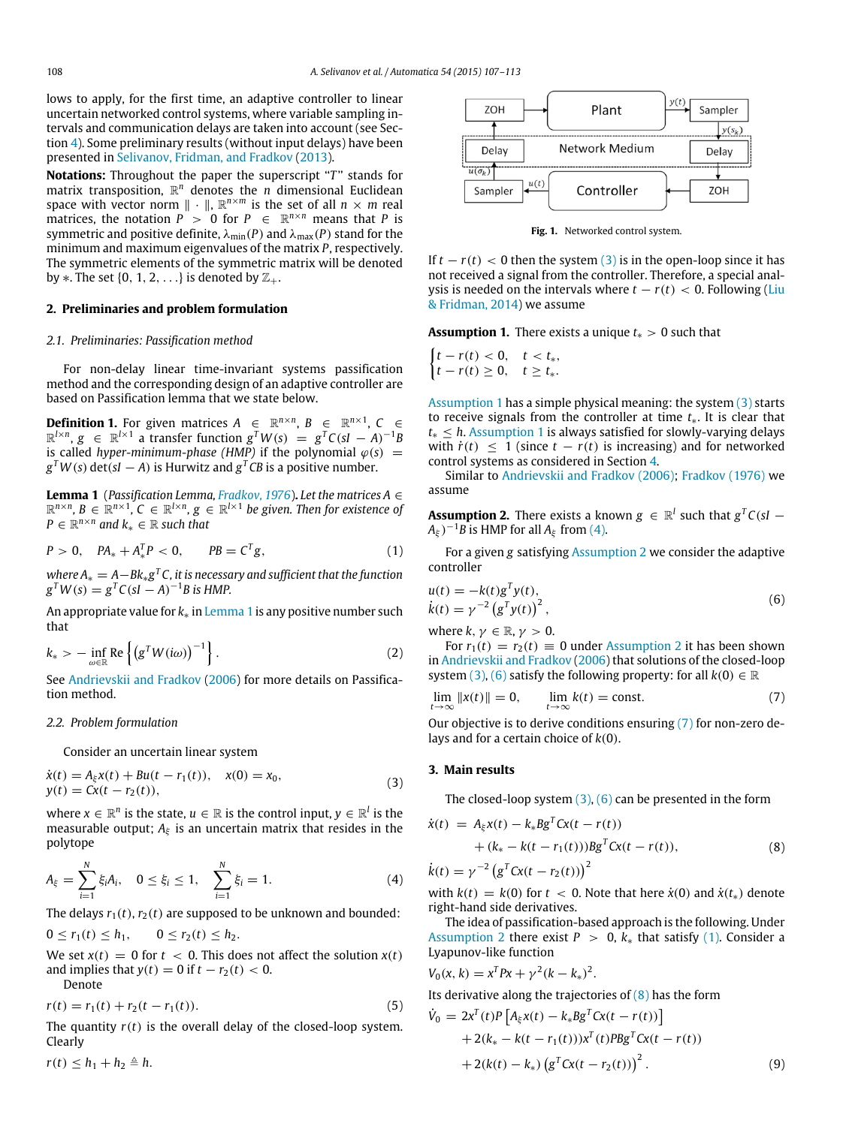lows to apply, for the first time, an adaptive controller to linear uncertain networked control systems, where variable sampling intervals and communication delays are taken into account (see Section [4\)](#page-2-0). Some preliminary results (without input delays) have been presented in [Selivanov,](#page-6-6) [Fridman,](#page-6-6) [and](#page-6-6) [Fradkov](#page-6-6) [\(2013\)](#page-6-6).

**Notations:** Throughout the paper the superscript "*T*" stands for matrix transposition, R *<sup>n</sup>* denotes the *n* dimensional Euclidean space with vector norm  $\| \cdot \|$ ,  $\mathbb{R}^{n \times m}$  is the set of all  $n \times m$  real matrices, the notation  $P > 0$  for  $P \in \mathbb{R}^{n \times n}$  means that P is symmetric and positive definite,  $\lambda_{\min}(P)$  and  $\lambda_{\max}(P)$  stand for the minimum and maximum eigenvalues of the matrix *P*, respectively. The symmetric elements of the symmetric matrix will be denoted by  $\ast$ . The set {0, 1, 2, . . .} is denoted by  $\mathbb{Z}_+$ .

#### **2. Preliminaries and problem formulation**

#### *2.1. Preliminaries: Passification method*

For non-delay linear time-invariant systems passification method and the corresponding design of an adaptive controller are based on Passification lemma that we state below.

**Definition 1.** For given matrices  $A \in \mathbb{R}^{n \times n}$ ,  $B \in \mathbb{R}^{n \times 1}$ ,  $C \in$  $\mathbb{R}^{l \times n}$ , *g*  $\in \mathbb{R}^{l \times 1}$  a transfer function  $g^T W(s) = g^T C (sI - A)^{-1} B$ is called *hyper-minimum-phase (HMP)* if the polynomial  $\varphi(s)$  =  $g^TW(s)$  det(*sI*  $-A$ ) is Hurwitz and  $g^TCB$  is a positive number.

<span id="page-1-0"></span>**Lemma 1** (*Passification Lemma, [Fradkov,](#page-5-11) [1976](#page-5-11)*)**.** *Let the matrices A* ∈  $\mathbb{R}^{n \times n}$ ,  $B \in \mathbb{R}^{n \times 1}$ ,  $C \in \mathbb{R}^{l \times n}$ ,  $g \in \mathbb{R}^{l \times 1}$  be given. Then for existence of  $P \in \mathbb{R}^{n \times n}$  and  $k_* \in \mathbb{R}$  such that

$$
P > 0, \quad PA_* + A_*^T P < 0, \qquad PB = C^T g, \tag{1}
$$

*where A*<sup>∗</sup> = *A*−*Bk*∗*g <sup>T</sup> C, it is necessary and sufficient that the function*  $g^T W(s) = g^T C (sI - A)^{-1} B$  is HMP.

An appropriate value for *k*∗ in [Lemma 1](#page-1-0) is any positive number such that

$$
k_* > -\inf_{\omega \in \mathbb{R}} \text{Re}\left\{ \left( g^T W(i\omega) \right)^{-1} \right\}.
$$
 (2)

See [Andrievskii](#page-5-1) [and](#page-5-1) [Fradkov](#page-5-1) [\(2006\)](#page-5-1) for more details on Passification method.

#### *2.2. Problem formulation*

Consider an uncertain linear system

$$
\dot{x}(t) = A_{\xi}x(t) + Bu(t - r_1(t)), \quad x(0) = x_0, \n y(t) = Cx(t - r_2(t)),
$$
\n(3)

where  $x \in \mathbb{R}^n$  is the state,  $u \in \mathbb{R}$  is the control input,  $y \in \mathbb{R}^l$  is the measurable output;  $A_\xi$  is an uncertain matrix that resides in the polytope

$$
A_{\xi} = \sum_{i=1}^{N} \xi_i A_i, \quad 0 \le \xi_i \le 1, \quad \sum_{i=1}^{N} \xi_i = 1.
$$
 (4)

The delays  $r_1(t)$ ,  $r_2(t)$  are supposed to be unknown and bounded:

 $0 \le r_1(t) \le h_1, \qquad 0 \le r_2(t) \le h_2.$ 

We set  $x(t) = 0$  for  $t < 0$ . This does not affect the solution  $x(t)$ and implies that  $y(t) = 0$  if  $t - r_2(t) < 0$ . Denote

$$
r(t) = r_1(t) + r_2(t - r_1(t)).
$$
\n(5)

The quantity  $r(t)$  is the overall delay of the closed-loop system. Clearly

 $r(t) \leq h_1 + h_2 \triangleq h$ .

<span id="page-1-10"></span>

**Fig. 1.** Networked control system.

If  $t - r(t) < 0$  then the system [\(3\)](#page-1-1) is in the open-loop since it has not received a signal from the controller. Therefore, a special analysis is needed on the intervals where  $t - r(t) < 0$ . Following [\(Liu](#page-5-12) [&](#page-5-12) [Fridman,](#page-5-12) [2014\)](#page-5-12) we assume

<span id="page-1-2"></span>**Assumption 1.** There exists a unique *t*<sup>∗</sup> > 0 such that

 $\int t - r(t) < 0, \quad t < t_*,$ *t* − *r*(*t*) ≥ 0, *t* ≥ *t*<sub>\*</sub>.

[Assumption 1](#page-1-2) has a simple physical meaning: the system [\(3\)](#page-1-1) starts to receive signals from the controller at time *t*∗. It is clear that *t*<sup>∗</sup> ≤ *h*. [Assumption 1](#page-1-2) is always satisfied for slowly-varying delays with  $\dot{r}(t)$  < 1 (since  $t - r(t)$  is increasing) and for networked control systems as considered in Section [4.](#page-2-0)

Similar to [Andrievskii](#page-5-1) [and](#page-5-1) [Fradkov](#page-5-1) [\(2006\);](#page-5-1) [Fradkov](#page-5-11) [\(1976\)](#page-5-11) we assume

<span id="page-1-4"></span>**Assumption 2.** There exists a known  $g \in \mathbb{R}^l$  such that  $g^T C(sI (A_{\xi})^{-1}B$  is HMP for all  $A_{\xi}$  from [\(4\).](#page-1-3)

<span id="page-1-7"></span>For a given *g* satisfying [Assumption 2](#page-1-4) we consider the adaptive controller

<span id="page-1-5"></span>
$$
u(t) = -k(t)g^{T}y(t), \n\dot{x}(t) = \gamma^{-2} (g^{T}y(t))^{2},
$$
\n(6)

where  $k, \gamma \in \mathbb{R}, \gamma > 0$ .

For  $r_1(t) = r_2(t) \equiv 0$  under [Assumption 2](#page-1-4) it has been shown in [Andrievskii](#page-5-1) [and](#page-5-1) [Fradkov](#page-5-1) [\(2006\)](#page-5-1) that solutions of the closed-loop system [\(3\),](#page-1-1) [\(6\)](#page-1-5) satisfy the following property: for all  $k(0) \in \mathbb{R}$ 

<span id="page-1-6"></span>
$$
\lim_{t \to \infty} ||x(t)|| = 0, \qquad \lim_{t \to \infty} k(t) = \text{const.}
$$
 (7)

Our objective is to derive conditions ensuring [\(7\)](#page-1-6) for non-zero delays and for a certain choice of *k*(0).

#### <span id="page-1-1"></span>**3. Main results**

<span id="page-1-8"></span>The closed-loop system [\(3\),](#page-1-1) [\(6\)](#page-1-5) can be presented in the form

$$
\dot{x}(t) = A_{\xi}x(t) - k_{*}Bg^{T}Cx(t - r(t)) \n+ (k_{*} - k(t - r_{1}(t)))Bg^{T}Cx(t - r(t)), \n\dot{k}(t) = \gamma^{-2} (g^{T}Cx(t - r_{2}(t)))^{2}
$$
\n(8)

<span id="page-1-3"></span>with  $k(t) = k(0)$  for  $t < 0$ . Note that here  $\dot{x}(0)$  and  $\dot{x}(t<sub>*</sub>)$  denote right-hand side derivatives.

The idea of passification-based approach is the following. Under [Assumption 2](#page-1-4) there exist  $P > 0$ ,  $k_{*}$  that satisfy [\(1\).](#page-1-7) Consider a Lyapunov-like function

$$
V_0(x, k) = x^T P x + \gamma^2 (k - k_*)^2.
$$

Its derivative along the trajectories of  $(8)$  has the form

<span id="page-1-9"></span>
$$
\dot{V}_0 = 2x^T(t)P[A_\xi x(t) - k_*Bg^T Cx(t - r(t))]
$$
  
+2(k\_\* - k(t - r\_1(t)))x^T(t)Pg^T Cx(t - r(t))  
+2(k(t) - k\_\*)(g^T Cx(t - r\_2(t)))<sup>2</sup>. (9)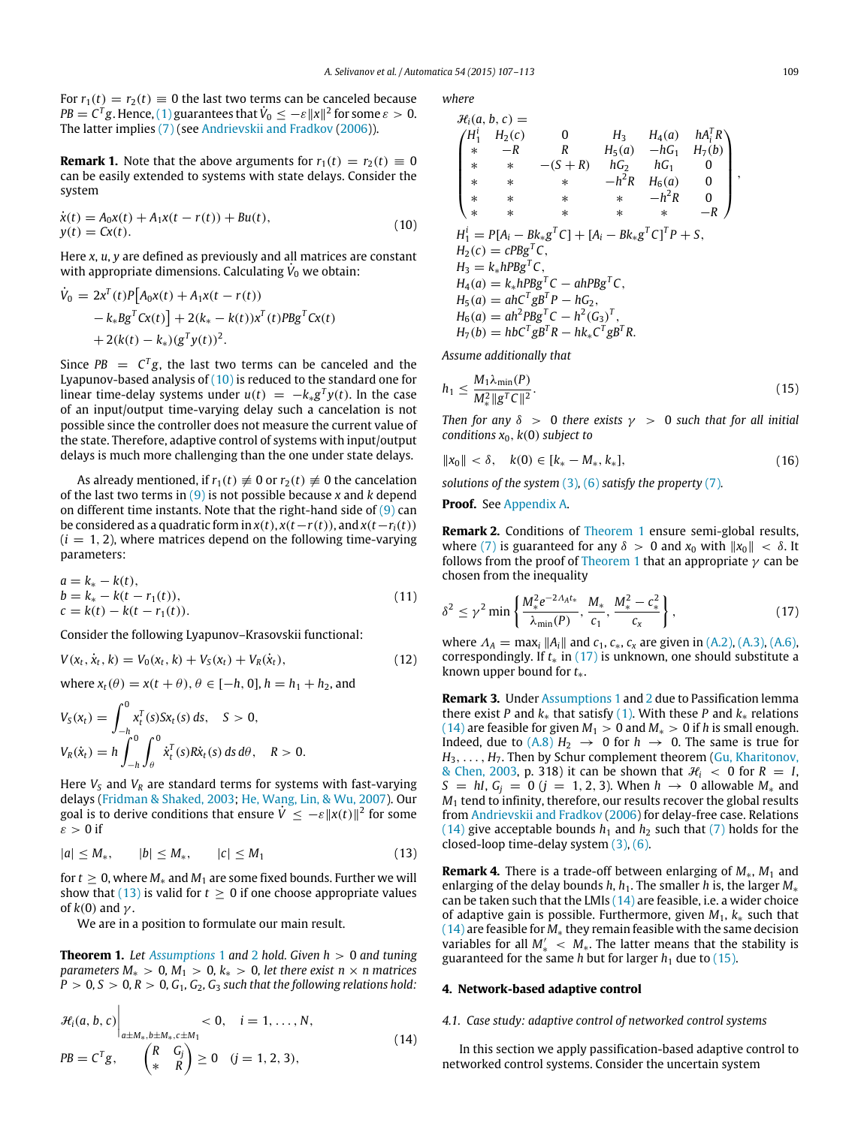For  $r_1(t) = r_2(t) \equiv 0$  the last two terms can be canceled because  $PB = C^T g$ . Hence, [\(1\)](#page-1-7) guarantees that  $\dot{V}_0 \leq -\varepsilon ||x||^2$  for some  $\varepsilon > 0$ . The latter implies [\(7\)](#page-1-6) (see [Andrievskii](#page-5-1) [and](#page-5-1) [Fradkov](#page-5-1) [\(2006\)](#page-5-1)).

**Remark 1.** Note that the above arguments for  $r_1(t) = r_2(t) \equiv 0$ can be easily extended to systems with state delays. Consider the system

$$
\dot{x}(t) = A_0 x(t) + A_1 x(t - r(t)) + B u(t), \n y(t) = C x(t).
$$
\n(10)

Here *x*, *u*, *y* are defined as previously and all matrices are constant with appropriate dimensions. Calculating  $\dot{V}_0$  we obtain:

$$
\dot{V}_0 = 2x^T(t)P[A_0x(t) + A_1x(t - r(t))- k_*Bg^T c x(t)] + 2(k_* - k(t))x^T(t)PBg^T c x(t)+ 2(k(t) - k_*)(g^T y(t))^2.
$$

Since  $PB = C^T g$ , the last two terms can be canceled and the Lyapunov-based analysis of [\(10\)](#page-2-2) is reduced to the standard one for linear time-delay systems under  $u(t) = -k_*g^Ty(t)$ . In the case of an input/output time-varying delay such a cancelation is not possible since the controller does not measure the current value of the state. Therefore, adaptive control of systems with input/output delays is much more challenging than the one under state delays.

As already mentioned, if  $r_1(t) \neq 0$  or  $r_2(t) \neq 0$  the cancelation of the last two terms in [\(9\)](#page-1-9) is not possible because *x* and *k* depend on different time instants. Note that the right-hand side of [\(9\)](#page-1-9) can be considered as a quadratic form in  $x(t)$ ,  $x(t-r(t))$ , and  $x(t-r<sub>i</sub>(t))$  $(i = 1, 2)$ , where matrices depend on the following time-varying parameters:

$$
a = k_{*} - k(t), b = k_{*} - k(t - r_{1}(t)), c = k(t) - k(t - r_{1}(t)).
$$
\n(11)

Consider the following Lyapunov–Krasovskii functional:

$$
V(x_t, \dot{x}_t, k) = V_0(x_t, k) + V_S(x_t) + V_R(\dot{x}_t),
$$
\n(12)

where  $x_t(\theta) = x(t + \theta), \theta \in [-h, 0], h = h_1 + h_2$ , and

$$
V_S(x_t) = \int_{-h}^{0} x_t^T(s) S x_t(s) ds, \quad S > 0,
$$
  

$$
V_R(\dot{x}_t) = h \int_{-h}^{0} \int_{\theta}^{0} \dot{x}_t^T(s) R \dot{x}_t(s) ds d\theta, \quad R > 0.
$$

Here  $V_s$  and  $V_R$  are standard terms for systems with fast-varying delays [\(Fridman](#page-5-13) [&](#page-5-13) [Shaked,](#page-5-13) [2003;](#page-5-13) [He,](#page-5-14) [Wang,](#page-5-14) [Lin,](#page-5-14) [&](#page-5-14) [Wu,](#page-5-14) [2007\)](#page-5-14). Our goal is to derive conditions that ensure  $\dot{V} \le -\varepsilon ||x(t)||^2$  for some  $\varepsilon > 0$  if

$$
|a| \le M_*, \qquad |b| \le M_*, \qquad |c| \le M_1 \tag{13}
$$

for  $t \geq 0$ , where  $M_*$  and  $M_1$  are some fixed bounds. Further we will show that  $(13)$  is valid for  $t \ge 0$  if one choose appropriate values of  $k(0)$  and  $\gamma$ .

<span id="page-2-4"></span>We are in a position to formulate our main result.

**Theorem 1.** *Let [Assumptions](#page-1-2)* 1 and [2](#page-1-4) *hold. Given h* > 0 *and tuning parameters M*<sup>\*</sup> > 0*, M*<sup>1</sup> > 0*, k*<sup>\*</sup> > 0*, let there exist n* × *n matrices*  $P > 0, S > 0, R > 0, G_1, G_2, G_3$  *such that the following relations hold:* 

$$
\mathcal{H}_{i}(a, b, c)\Big|_{a \pm M_{*,b} \pm M_{*,c} \pm M_{1}} < 0, \quad i = 1, ..., N,
$$
  
\n
$$
PB = C^{T}g, \qquad \begin{pmatrix} R & G_{j} \\ * & R \end{pmatrix} \ge 0 \quad (j = 1, 2, 3),
$$
\n(14)

*where*

<span id="page-2-2"></span>
$$
\mathcal{H}_i(a, b, c) =
$$
\n
$$
\begin{pmatrix}\nH_1^i & H_2(c) & 0 & H_3 & H_4(a) & hA_i^T R \\
* & -R & R & H_5(a) & -hG_1 & H_7(b) \\
* & * & -(S+R) & hG_2 & hG_1 & 0 \\
* & * & * & -h^2 R & H_6(a) & 0 \\
* & * & * & * & -h^2 R & 0 \\
* & * & * & * & -h^2 R & 0\n\end{pmatrix},
$$
\n
$$
H_1^i = P[A_i - Bk_*g^T C] + [A_i - Bk_*g^T C]^T P + S,
$$
\n
$$
H_2(c) = cPbg^T c,
$$
\n
$$
H_3 = k_*hPbg^T c,
$$
\n
$$
H_5(a) = ah^C g^T g^T c - ah^2 g^T c,
$$
\n
$$
H_5(a) = ah^C g^T g^T c - h^2 (G_3)^T,
$$
\n
$$
H_7(b) = hb^T g^T R - hk_* c^T g^T R.
$$

*Assume additionally that*

<span id="page-2-7"></span>
$$
h_1 \le \frac{M_1 \lambda_{\min}(P)}{M_*^2 \|g^T C\|^2}.
$$
\n(15)

*Then for any*  $\delta > 0$  *there exists*  $\gamma > 0$  *such that for all initial conditions x*0, *k*(0) *subject to*

$$
||x_0|| < \delta, \quad k(0) \in [k_* - M_*, k_*], \tag{16}
$$

*solutions of the system* [\(3\)](#page-1-1)*,* [\(6\)](#page-1-5) *satisfy the property* [\(7\)](#page-1-6)*.*

**Proof.** See [Appendix A.](#page-4-0)

<span id="page-2-1"></span>**Remark 2.** Conditions of [Theorem 1](#page-2-4) ensure semi-global results, where [\(7\)](#page-1-6) is guaranteed for any  $\delta > 0$  and  $x_0$  with  $||x_0|| < \delta$ . It follows from the proof of [Theorem 1](#page-2-4) that an appropriate  $\gamma$  can be chosen from the inequality

<span id="page-2-10"></span><span id="page-2-5"></span>
$$
\delta^2 \le \gamma^2 \min \left\{ \frac{M_*^2 e^{-2\Lambda_A t_*}}{\lambda_{\min}(P)}, \frac{M_*}{c_1}, \frac{M_*^2 - c_*^2}{c_\chi} \right\},\tag{17}
$$

<span id="page-2-9"></span>where  $\Lambda_A = \max_i \|A_i\|$  and  $c_1, c_*, c_x$  are given in [\(A.2\),](#page-4-1) [\(A.3\),](#page-4-2) [\(A.6\),](#page-5-15) correspondingly. If *t*∗ in [\(17\)](#page-2-5) is unknown, one should substitute a known upper bound for *t*∗.

**Remark 3.** Under [Assumptions 1](#page-1-2) and [2](#page-1-4) due to Passification lemma there exist *P* and  $k_{*}$  that satisfy [\(1\).](#page-1-7) With these *P* and  $k_{*}$  relations [\(14\)](#page-2-6) are feasible for given  $M_1 > 0$  and  $M_* > 0$  if *h* is small enough. Indeed, due to  $(A.8) H_2 \rightarrow 0$  $(A.8) H_2 \rightarrow 0$  for  $h \rightarrow 0$ . The same is true for *H*3, . . . , *H*7. Then by Schur complement theorem [\(Gu,](#page-5-17) [Kharitonov,](#page-5-17) [&](#page-5-17) [Chen,](#page-5-17) [2003,](#page-5-17) p. 318) it can be shown that  $\mathcal{H}_i < 0$  for  $R = I$ , *S* = *hI*,  $G$ <sup>*j*</sup> = 0 (*j* = 1, 2, 3). When *h* → 0 allowable  $M$ <sup>\*</sup> and *M*<sup>1</sup> tend to infinity, therefore, our results recover the global results from [Andrievskii](#page-5-1) [and](#page-5-1) [Fradkov](#page-5-1) [\(2006\)](#page-5-1) for delay-free case. Relations [\(14\)](#page-2-6) give acceptable bounds  $h_1$  and  $h_2$  such that [\(7\)](#page-1-6) holds for the closed-loop time-delay system [\(3\),](#page-1-1) [\(6\).](#page-1-5)

<span id="page-2-8"></span><span id="page-2-3"></span>**Remark 4.** There is a trade-off between enlarging of *M*∗, *M*<sup>1</sup> and enlarging of the delay bounds *h*, *h*<sub>1</sub>. The smaller *h* is, the larger *M*<sup>∗</sup> can be taken such that the LMIs  $(14)$  are feasible, i.e. a wider choice of adaptive gain is possible. Furthermore, given *M*1, *k*∗ such that [\(14\)](#page-2-6) are feasible for *M*∗ they remain feasible with the same decision variables for all  $M'_*$  <  $M_*$ . The latter means that the stability is guaranteed for the same *h* but for larger  $h_1$  due to [\(15\).](#page-2-7)

#### <span id="page-2-0"></span>**4. Network-based adaptive control**

#### <span id="page-2-6"></span>*4.1. Case study: adaptive control of networked control systems*

In this section we apply passification-based adaptive control to networked control systems. Consider the uncertain system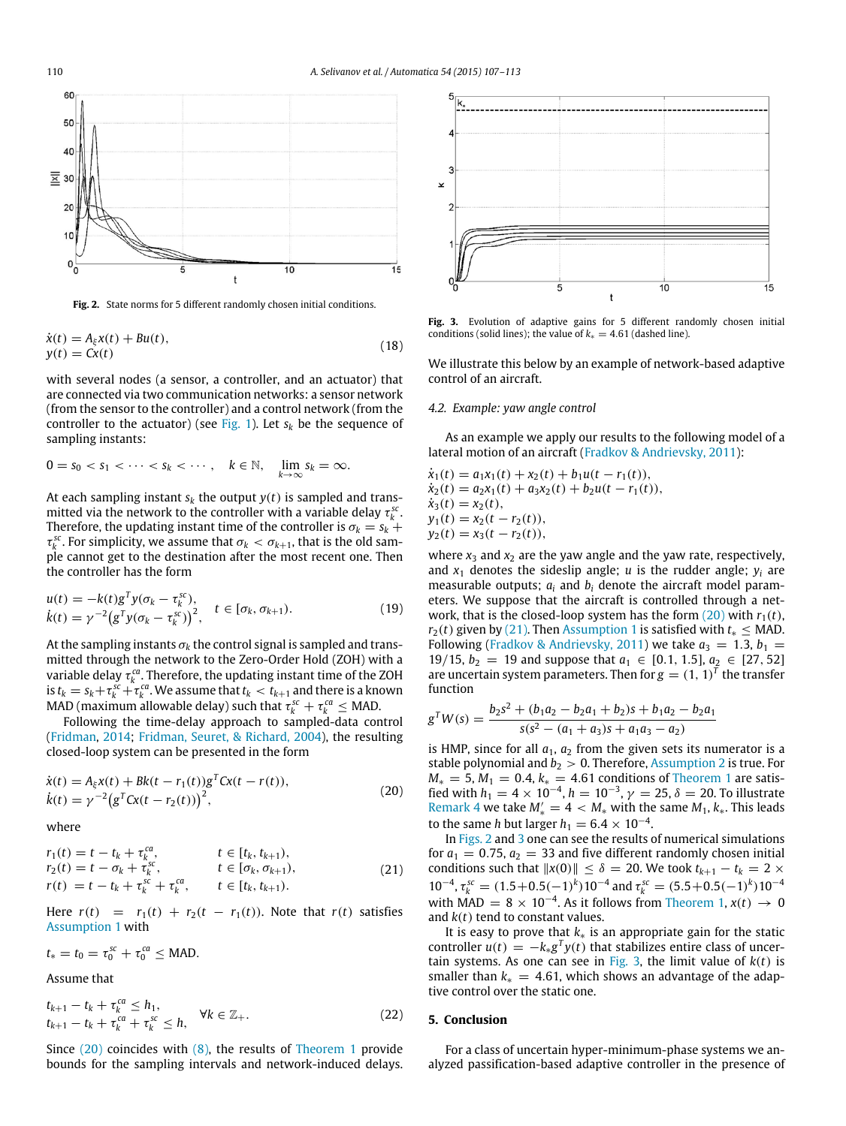<span id="page-3-2"></span>

**Fig. 2.** State norms for 5 different randomly chosen initial conditions.

$$
\dot{x}(t) = A_{\xi}x(t) + Bu(t), \ny(t) = Cx(t)
$$
\n(18)

with several nodes (a sensor, a controller, and an actuator) that are connected via two communication networks: a sensor network (from the sensor to the controller) and a control network (from the controller to the actuator) (see [Fig. 1\)](#page-1-10). Let  $s_k$  be the sequence of sampling instants:

$$
0 = s_0 < s_1 < \cdots < s_k < \cdots, \quad k \in \mathbb{N}, \quad \lim_{k \to \infty} s_k = \infty.
$$

At each sampling instant  $s_k$  the output  $y(t)$  is sampled and transmitted via the network to the controller with a variable delay  $\tau_k^{sc}$ . Therefore, the updating instant time of the controller is  $\sigma_k = s_k +$ τ *sc k* . For simplicity, we assume that σ*<sup>k</sup>* < σ*k*+1, that is the old sample cannot get to the destination after the most recent one. Then the controller has the form

$$
u(t) = -k(t)g^{T}y(\sigma_{k} - \tau_{k}^{sc}),
$$
  
\n
$$
\dot{k}(t) = \gamma^{-2} (g^{T}y(\sigma_{k} - \tau_{k}^{sc}))^{2}, \quad t \in [\sigma_{k}, \sigma_{k+1}).
$$
\n(19)

At the sampling instants  $\sigma_k$  the control signal is sampled and transmitted through the network to the Zero-Order Hold (ZOH) with a variable delay  $\tau_k^{ca}$ . Therefore, the updating instant time of the ZOH is  $t_k = s_k + \tau_k^{sc} + \tau_k^{ca}$ . We assume that  $t_k < t_{k+1}$  and there is a known MAD (maximum allowable delay) such that  $\tau_k^{sc} + \tau_k^{ca} \leq$  MAD.

Following the time-delay approach to sampled-data control [\(Fridman,](#page-5-18) [2014;](#page-5-18) [Fridman,](#page-5-19) [Seuret,](#page-5-19) [&](#page-5-19) [Richard,](#page-5-19) [2004\)](#page-5-19), the resulting closed-loop system can be presented in the form

$$
\dot{x}(t) = A_{\xi}x(t) + Bk(t - r_1(t))g^T Cx(t - r(t)),
$$
  
\n
$$
\dot{x}(t) = \gamma^{-2} (g^T Cx(t - r_2(t)))^2,
$$
\n(20)

where

$$
r_1(t) = t - t_k + \tau_k^{ca}, \qquad t \in [t_k, t_{k+1}),
$$
  
\n
$$
r_2(t) = t - \sigma_k + \tau_k^{sc}, \qquad t \in [\sigma_k, \sigma_{k+1}),
$$
  
\n
$$
r(t) = t - t_k + \tau_k^{sc} + \tau_k^{ca}, \qquad t \in [t_k, t_{k+1}).
$$
\n(21)

Here  $r(t) = r_1(t) + r_2(t - r_1(t))$ . Note that  $r(t)$  satisfies [Assumption 1](#page-1-2) with

$$
t_* = t_0 = \tau_0^{sc} + \tau_0^{ca} \leq \text{MAD}.
$$

Assume that

$$
t_{k+1} - t_k + \tau_k^{ca} \le h_1, t_{k+1} - t_k + \tau_k^{ca} + \tau_k^{sc} \le h, \quad \forall k \in \mathbb{Z}_+.
$$
 (22)

Since [\(20\)](#page-3-0) coincides with [\(8\),](#page-1-8) the results of [Theorem 1](#page-2-4) provide bounds for the sampling intervals and network-induced delays.

<span id="page-3-3"></span>

**Fig. 3.** Evolution of adaptive gains for 5 different randomly chosen initial conditions (solid lines); the value of  $k_* = 4.61$  (dashed line).

We illustrate this below by an example of network-based adaptive control of an aircraft.

#### *4.2. Example: yaw angle control*

As an example we apply our results to the following model of a lateral motion of an aircraft [\(Fradkov](#page-5-20) [&](#page-5-20) [Andrievsky,](#page-5-20) [2011\)](#page-5-20):

 $\dot{x}_1(t) = a_1x_1(t) + x_2(t) + b_1u(t - r_1(t)),$  $\dot{x}_2(t) = a_2x_1(t) + a_3x_2(t) + b_2u(t - r_1(t)),$  $\dot{x}_3(t) = x_2(t)$ ,  $y_1(t) = x_2(t - r_2(t)),$  $y_2(t) = x_3(t - r_2(t)),$ 

where  $x_3$  and  $x_2$  are the yaw angle and the yaw rate, respectively, and  $x_1$  denotes the sideslip angle; *u* is the rudder angle;  $y_i$  are measurable outputs;  $a_i$  and  $b_i$  denote the aircraft model parameters. We suppose that the aircraft is controlled through a network, that is the closed-loop system has the form  $(20)$  with  $r_1(t)$ ,  $r_2(t)$  given by [\(21\).](#page-3-1) Then [Assumption 1](#page-1-2) is satisfied with  $t_* \leq MAD$ . Following [\(Fradkov](#page-5-20) [&](#page-5-20) [Andrievsky,](#page-5-20) [2011\)](#page-5-20) we take  $a_3 = 1.3$ ,  $b_1 =$ 19/15,  $b_2 = 19$  and suppose that  $a_1 \in [0.1, 1.5]$ ,  $a_2 \in [27, 52]$ are uncertain system parameters. Then for  $g = (1, 1)^T$  the transfer function

$$
g^T W(s) = \frac{b_2 s^2 + (b_1 a_2 - b_2 a_1 + b_2)s + b_1 a_2 - b_2 a_1}{s(s^2 - (a_1 + a_3)s + a_1 a_3 - a_2)}
$$

<span id="page-3-0"></span>is HMP, since for all  $a_1$ ,  $a_2$  from the given sets its numerator is a stable polynomial and  $b_2 > 0$ . Therefore, [Assumption 2](#page-1-4) is true. For  $M_* = 5, M_1 = 0.4, k_* = 4.61$  conditions of [Theorem 1](#page-2-4) are satisfied with  $h_1 = 4 \times 10^{-4}$ ,  $h = 10^{-3}$ ,  $\gamma = 25$ ,  $\delta = 20$ . To illustrate [Remark 4](#page-2-8) we take  $M'_* = 4 < M_*$  with the same  $M_1, k_*$ . This leads to the same *h* but larger  $h_1 = 6.4 \times 10^{-4}$ .

<span id="page-3-1"></span>In [Figs. 2](#page-3-2) and [3](#page-3-3) one can see the results of numerical simulations for  $a_1 = 0.75$ ,  $a_2 = 33$  and five different randomly chosen initial conditions such that  $||x(0)|| \le \delta = 20$ . We took  $t_{k+1} - t_k = 2 \times$  $10^{-4}$ ,  $\tau_k^{sc} = (1.5 + 0.5(-1)^k)10^{-4}$  and  $\tau_k^{sc} = (5.5 + 0.5(-1)^k)10^{-4}$ with MAD =  $8 \times 10^{-4}$ . As it follows from [Theorem 1,](#page-2-4)  $x(t) \rightarrow 0$ and *k*(*t*) tend to constant values.

It is easy to prove that *k*∗ is an appropriate gain for the static controller  $u(t) = -k_* g^T y(t)$  that stabilizes entire class of uncer-tain systems. As one can see in [Fig. 3,](#page-3-3) the limit value of  $k(t)$  is smaller than  $k_* = 4.61$ , which shows an advantage of the adaptive control over the static one.

#### **5. Conclusion**

For a class of uncertain hyper-minimum-phase systems we analyzed passification-based adaptive controller in the presence of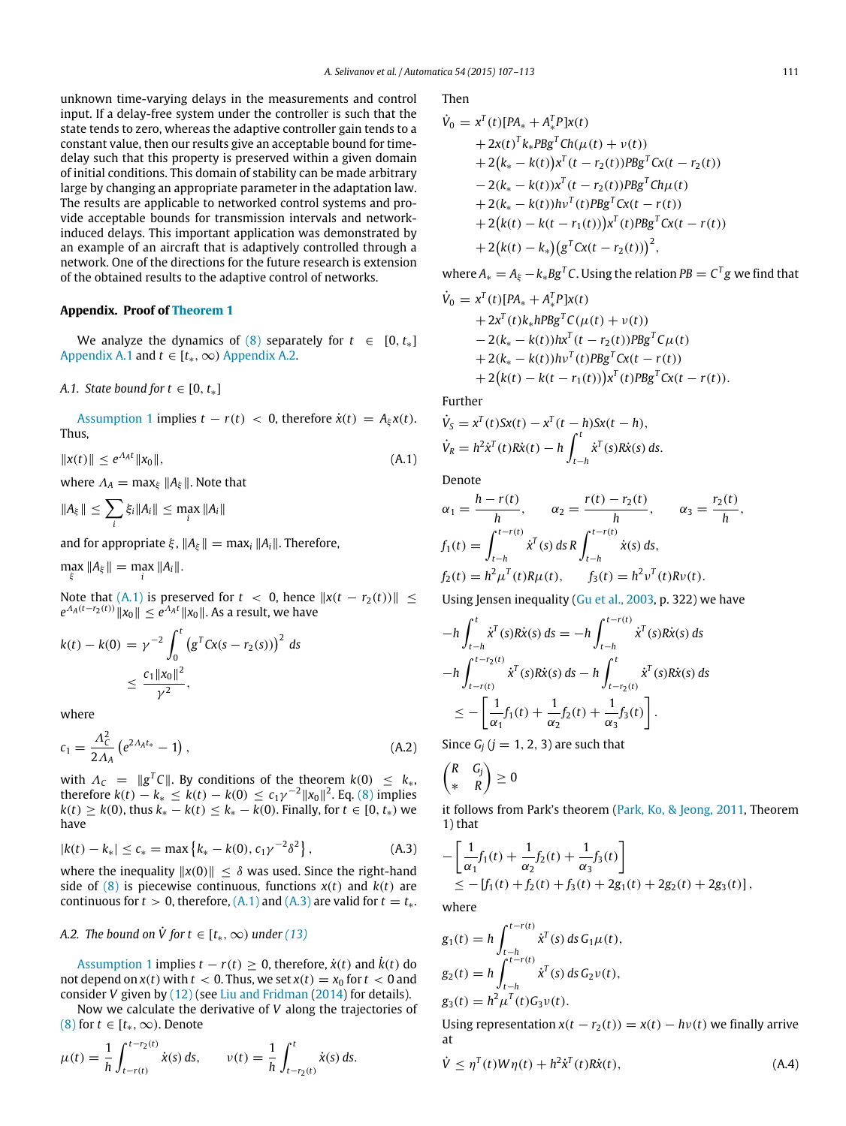unknown time-varying delays in the measurements and control input. If a delay-free system under the controller is such that the state tends to zero, whereas the adaptive controller gain tends to a constant value, then our results give an acceptable bound for timedelay such that this property is preserved within a given domain of initial conditions. This domain of stability can be made arbitrary large by changing an appropriate parameter in the adaptation law. The results are applicable to networked control systems and provide acceptable bounds for transmission intervals and networkinduced delays. This important application was demonstrated by an example of an aircraft that is adaptively controlled through a network. One of the directions for the future research is extension of the obtained results to the adaptive control of networks.

#### <span id="page-4-0"></span>**Appendix. Proof of [Theorem 1](#page-2-4)**

We analyze the dynamics of  $(8)$  separately for  $t \in [0, t_*]$ [Appendix A.1](#page-4-3) and  $t \in [t_*, \infty)$  [Appendix A.2.](#page-4-4)

#### <span id="page-4-3"></span>*A.1. State bound for t*  $\in$  [0,  $t_*$ ]

[Assumption 1](#page-1-2) implies  $t - r(t) < 0$ , therefore  $\dot{x}(t) = A_{\xi}x(t)$ . Thus,

$$
||x(t)|| \le e^{A_A t} ||x_0||, \tag{A.1}
$$

where  $\Lambda_A = \max_{\xi} ||A_{\xi}||$ . Note that

$$
||A_{\xi}|| \leq \sum_{i} \xi_i ||A_i|| \leq \max_i ||A_i||
$$

and for appropriate  $\xi$ ,  $||A_{\xi}|| = \max_{i} ||A_{i}||$ . Therefore,

 $\max_{\xi} \|A_{\xi}\| = \max_{i} \|A_i\|.$ 

Note that [\(A.1\)](#page-4-5) is preserved for  $t < 0$ , hence  $||x(t - r_2(t))|| \le$  $e^{\Lambda_A(t-r_2(t))}\|x_0\|\le e^{\Lambda_A t}\|x_0\|.$  As a result, we have

$$
k(t) - k(0) = \gamma^{-2} \int_0^t (g^T C x (s - r_2(s)))^2 ds
$$
  

$$
\leq \frac{c_1 ||x_0||^2}{\gamma^2},
$$

where

$$
c_1 = \frac{\Lambda_c^2}{2\Lambda_A} \left( e^{2\Lambda_A t_*} - 1 \right), \tag{A.2}
$$

with  $\Lambda_C = ||g^T C||$ . By conditions of the theorem  $k(0) \leq k_*$ , therefore  $k(t) - k_* \leq k(t) - k(0) \leq c_1 \gamma^{-2} ||x_0||^2$ . Eq. [\(8\)](#page-1-8) implies *k*(*t*) ≥ *k*(0), thus  $k_* - k(t) \leq k_* - k(0)$ . Finally, for  $t \in [0, t_*)$  we have

$$
|k(t) - k_{*}| \leq c_{*} = \max\left\{k_{*} - k(0), c_{1}\gamma^{-2}\delta^{2}\right\},\tag{A.3}
$$

where the inequality  $||x(0)|| \leq \delta$  was used. Since the right-hand side of  $(8)$  is piecewise continuous, functions  $x(t)$  and  $k(t)$  are continuous for  $t > 0$ , therefore,  $(A,1)$  and  $(A,3)$  are valid for  $t = t_*$ .

### <span id="page-4-4"></span>*A.2. The bound on*  $\dot{V}$  *for*  $t \in [t_*, \infty)$  *under* [\(13\)](#page-2-3)

[Assumption 1](#page-1-2) implies  $t - r(t) > 0$ , therefore,  $\dot{x}(t)$  and  $\dot{k}(t)$  do not depend on  $x(t)$  with  $t < 0$ . Thus, we set  $x(t) = x_0$  for  $t < 0$  and consider *V* given by [\(12\)](#page-2-9) (see [Liu](#page-5-12) [and](#page-5-12) [Fridman](#page-5-12) [\(2014\)](#page-5-12) for details).

Now we calculate the derivative of *V* along the trajectories of [\(8\)](#page-1-8) for  $t \in [t_*, \infty)$ . Denote

$$
\mu(t) = \frac{1}{h} \int_{t-r(t)}^{t-r_2(t)} \dot{x}(s) \, ds, \qquad \nu(t) = \frac{1}{h} \int_{t-r_2(t)}^{t} \dot{x}(s) \, ds.
$$

Then

$$
\dot{V}_0 = x^T(t)[PA_* + A_*^T P]x(t) \n+ 2x(t)^T k_* P B g^T C h(\mu(t) + \nu(t)) \n+ 2(k_* - k(t))x^T (t - r_2(t)) P B g^T C x(t - r_2(t)) \n- 2(k_* - k(t))x^T (t - r_2(t)) P B g^T C h \mu(t) \n+ 2(k_* - k(t))h\nu^T (t) P B g^T C x(t - r(t)) \n+ 2(k(t) - k(t - r_1(t)))x^T (t) P B g^T C x(t - r(t)) \n+ 2(k(t) - k_*)(g^T C x(t - r_2(t)))^2,
$$

where  $A_* = A_{\xi} - k_* B g^T C$ . Using the relation  $PB = C^T g$  we find that

$$
\dot{V}_0 = x^T(t)[PA_* + A_*^T P]x(t) \n+ 2x^T(t)k_* hPBg^T C(\mu(t) + \nu(t)) \n- 2(k_* - k(t))hx^T(t - r_2(t))PBg^T C\mu(t) \n+ 2(k_* - k(t))hv^T(t)PBg^T Cx(t - r(t)) \n+ 2(k(t) - k(t - r_1(t)))x^T(t)PBg^T Cx(t - r(t)).
$$

Further

$$
\dot{V}_S = x^T(t)Sx(t) - x^T(t-h)Sx(t-h),
$$
  
\n
$$
\dot{V}_R = h^2\dot{x}^T(t)R\dot{x}(t) - h \int_{t-h}^t \dot{x}^T(s)R\dot{x}(s) ds.
$$

<span id="page-4-5"></span>Denote

$$
\alpha_1 = \frac{h - r(t)}{h}, \qquad \alpha_2 = \frac{r(t) - r_2(t)}{h}, \qquad \alpha_3 = \frac{r_2(t)}{h},
$$
  

$$
f_1(t) = \int_{t-h}^{t-r(t)} \dot{x}^T(s) ds R \int_{t-h}^{t-r(t)} \dot{x}(s) ds,
$$
  

$$
f_2(t) = h^2 \mu^T(t) R \mu(t), \qquad f_3(t) = h^2 \nu^T(t) R \nu(t).
$$

Using Jensen inequality [\(Gu](#page-5-17) [et al.,](#page-5-17) [2003,](#page-5-17) p. 322) we have

$$
-h \int_{t-h}^{t} \dot{x}^{T}(s) R\dot{x}(s) ds = -h \int_{t-h}^{t-r(t)} \dot{x}^{T}(s) R\dot{x}(s) ds
$$
  

$$
-h \int_{t-r(t)}^{t-r_2(t)} \dot{x}^{T}(s) R\dot{x}(s) ds - h \int_{t-r_2(t)}^{t} \dot{x}^{T}(s) R\dot{x}(s) ds
$$
  

$$
\leq -\left[\frac{1}{\alpha_{1}} f_{1}(t) + \frac{1}{\alpha_{2}} f_{2}(t) + \frac{1}{\alpha_{3}} f_{3}(t)\right].
$$

<span id="page-4-1"></span>Since  $G_i$  ( $j = 1, 2, 3$ ) are such that

$$
\begin{pmatrix} R & G_j \\ * & R \end{pmatrix} \geq 0
$$

it follows from Park's theorem [\(Park,](#page-6-7) [Ko,](#page-6-7) [&](#page-6-7) [Jeong,](#page-6-7) [2011,](#page-6-7) Theorem 1) that

<span id="page-4-2"></span>
$$
-\left[\frac{1}{\alpha_1}f_1(t) + \frac{1}{\alpha_2}f_2(t) + \frac{1}{\alpha_3}f_3(t)\right] \le -[f_1(t) + f_2(t) + f_3(t) + 2g_1(t) + 2g_2(t) + 2g_3(t)],
$$

where

$$
g_1(t) = h \int_{t-h}^{t-r(t)} \dot{x}^T(s) ds G_1 \mu(t),
$$
  
\n
$$
g_2(t) = h \int_{t-h}^{t-r(t)} \dot{x}^T(s) ds G_2 \nu(t),
$$
  
\n
$$
g_3(t) = h^2 \mu^T(t) G_3 \nu(t).
$$

Using representation  $x(t - r_2(t)) = x(t) - hv(t)$  we finally arrive at

<span id="page-4-6"></span>
$$
\dot{V} \leq \eta^{T}(t)W\eta(t) + h^{2}\dot{x}^{T}(t)R\dot{x}(t),
$$
\n(A.4)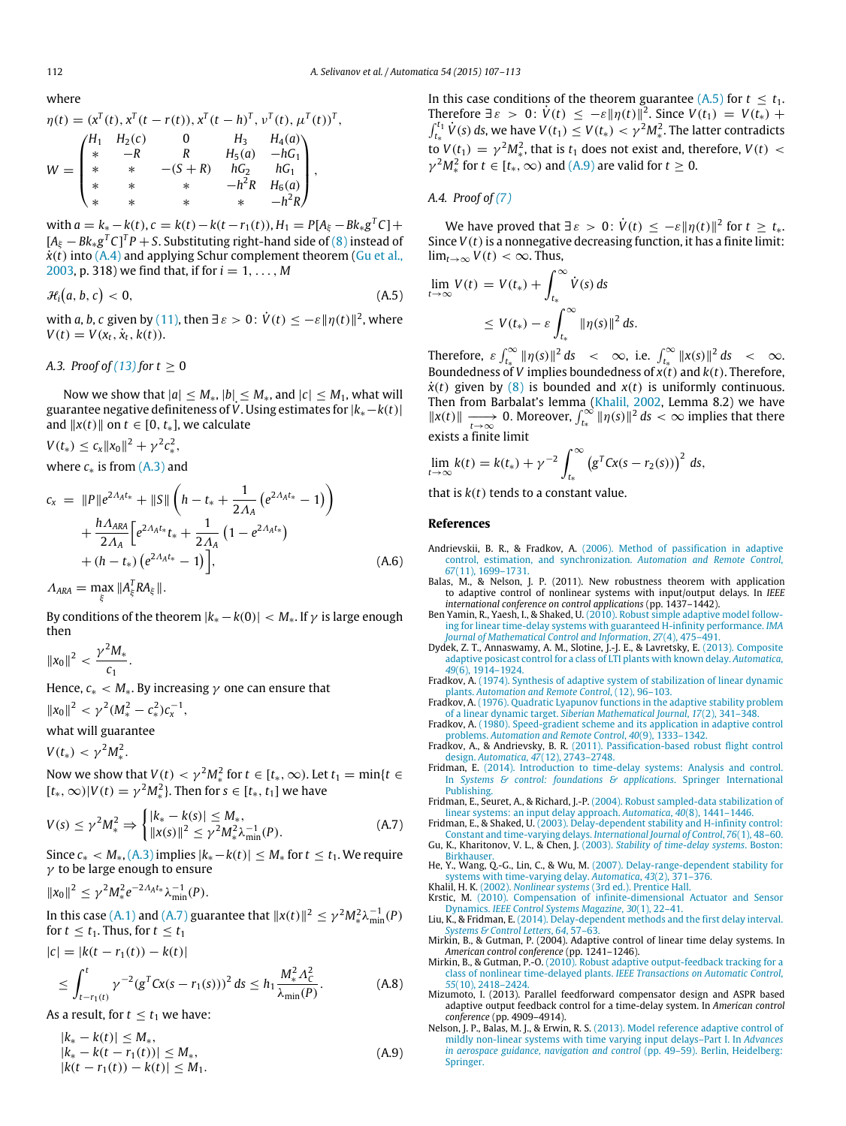,

where

$$
\eta(t) = (x^T(t), x^T(t - r(t)), x^T(t - h)^T, v^T(t), \mu^T(t))^T
$$
  
\n
$$
W = \begin{pmatrix} H_1 & H_2(c) & 0 & H_3 & H_4(a) \\ * & -R & R & H_5(a) & -hG_1 \\ * & * & -(S + R) & hG_2 & hG_1 \\ * & * & * & -h^2R & H_6(a) \\ * & * & * & * & -h^2R \end{pmatrix},
$$

 ${\rm wt}$   $a = k_* - k(t), c = k(t) - k(t - r_1(t)), H_1 = P[A_{\xi} - Bk_* g^T C] +$  $[A_{\xi} - Bk_{*}g^{T}C]^{T}P + S.$  Substituting right-hand side of  $(8)$  instead of  $\dot{x}(t)$  into [\(A.4\)](#page-4-6) and applying Schur complement theorem [\(Gu](#page-5-17) [et al.,](#page-5-17) [2003,](#page-5-17) p. 318) we find that, if for *i* = 1, . . . , *M*

 $\mathcal{H}_i(a, b, c)$  $< 0,$  (A.5)

with *a*, *b*, *c* given by [\(11\),](#page-2-10) then  $\exists \varepsilon > 0$  :  $\dot{V}(t) \leq -\varepsilon \|\eta(t)\|^2$ , where  $V(t) = V(x_t, \dot{x}_t, k(t)).$ 

*A.3. Proof of*  $(13)$  *for*  $t \ge 0$ 

Now we show that  $|a| \leq M_*$ ,  $|b| \leq M_*$ , and  $|c| \leq M_1$ , what will guarantee negative definiteness of *<sup>V</sup>*˙. Using estimates for |*k*∗−*k*(*t*)| and  $||x(t)||$  on  $t \in [0, t_*]$ , we calculate

 $V(t_*) \leq c_x \|x_0\|^2 + \gamma^2 c_*^2,$ 

where *c*∗ is from [\(A.3\)](#page-4-2) and

$$
c_{x} = ||P||e^{2A_{A}t_{*}} + ||S|| \left( h - t_{*} + \frac{1}{2A_{A}} \left( e^{2A_{A}t_{*}} - 1 \right) \right) + \frac{hA_{ARA}}{2A_{A}} \left[ e^{2A_{A}t_{*}} t_{*} + \frac{1}{2A_{A}} \left( 1 - e^{2A_{A}t_{*}} \right) + (h - t_{*}) \left( e^{2A_{A}t_{*}} - 1 \right) \right], \tag{A.6}
$$

 $\Lambda_{ARA} = \max_{\xi} ||A_{\xi}^{T} R A_{\xi}||.$ 

By conditions of the theorem  $|k_{*} - k(0)| < M_{*}$ . If  $\gamma$  is large enough then

 $||x_0||^2 < \frac{\gamma^2 M_*}{\Gamma}$  $\frac{1}{c_1}$ .

Hence,  $c_* < M_*$ . By increasing  $\gamma$  one can ensure that  $||x_0||^2 < \gamma^2 (M_*^2 - c_*^2) c_{\chi}^{-1},$ 

what will guarantee

 $V(t_*) < \gamma^2 M_*^2$ .

Now we show that  $V(t) < \gamma^2 M_*^2$  for  $t \in [t_*, \infty)$ . Let  $t_1 = \min\{t \in [t_*, \infty)\}$  $[t_*, \infty) | V(t) = \gamma^2 M_*^2$ . Then for  $s \in [t_*, t_1]$  we have

$$
V(s) \le \gamma^2 M_*^2 \Rightarrow \begin{cases} |k_* - k(s)| \le M_*, \\ \|x(s)\|^2 \le \gamma^2 M_*^2 \lambda_{\min}^{-1}(P). \end{cases}
$$
 (A.7)

Since  $c_* < M_*,$  [\(A.3\)](#page-4-2) implies  $|k_*-k(t)| \leq M_*$  for  $t \leq t_1$ . We require  $\gamma$  to be large enough to ensure

$$
||x_0||^2 \leq \gamma^2 M_*^2 e^{-2A_A t_*} \lambda_{\min}^{-1}(P).
$$

In this case [\(A.1\)](#page-4-5) and [\(A.7\)](#page-5-21) guarantee that  $||x(t)||^2 \leq \gamma^2 M_*^2 \lambda_{\min}^{-1}(P)$ for  $t \leq t_1$ . Thus, for  $t \leq t_1$ 

$$
|c| = |k(t - r_1(t)) - k(t)|
$$
  
\n
$$
\leq \int_{t - r_1(t)}^{t} \gamma^{-2} (g^T C x(s - r_1(s)))^2 ds \leq h_1 \frac{M_*^2 \Lambda_C^2}{\lambda_{\min}(P)}.
$$
 (A.8)

As a result, for  $t \le t_1$  we have:

$$
|k_{*} - k(t)| \leq M_{*},
$$
  
\n
$$
|k_{*} - k(t - r_{1}(t))| \leq M_{*},
$$
  
\n
$$
|k(t - r_{1}(t)) - k(t)| \leq M_{1}.
$$
\n(A.9)

In this case conditions of the theorem guarantee [\(A.5\)](#page-5-22) for  $t \leq t_1$ . Therefore  $\exists \varepsilon > 0$ :  $V(t) \leq -\varepsilon ||\eta(t)||^2$ . Since  $V(t_1) = V(t_*) +$  $\int_{t_*}^{t_1} \dot{V}(s) ds$ , we have  $V(t_1) \le V(t_*) < \gamma^2 M_*^2$ . The latter contradicts to  $V(t_1) = \gamma^2 M_*^2$ , that is  $t_1$  does not exist and, therefore,  $V(t)$  <  $\gamma^2 M_*^2$  for  $t \in [t_*, \infty)$  and [\(A.9\)](#page-5-23) are valid for  $t \ge 0$ .

#### *A.4. Proof of [\(7\)](#page-1-6)*

We have proved that  $\exists \varepsilon > 0$ :  $\dot{V}(t) \leq -\varepsilon \|\eta(t)\|^2$  for  $t \geq t_*$ . Since  $V(t)$  is a nonnegative decreasing function, it has a finite limit:  $\lim_{t\to\infty} V(t) < \infty$ . Thus,

<span id="page-5-22"></span>
$$
\lim_{t \to \infty} V(t) = V(t_*) + \int_{t_*}^{\infty} \dot{V}(s) \, ds
$$
\n
$$
\leq V(t_*) - \varepsilon \int_{t_*}^{\infty} ||\eta(s)||^2 \, ds.
$$

Therefore,  $\varepsilon \int_{t_*}^{\infty} ||\eta(s)||^2 ds < \infty$ , i.e.  $\int_{t_*}^{\infty} ||x(s)||^2 ds < \infty$ . Boundedness of *V* implies boundedness of  $x(t)$  and  $k(t)$ . Therefore,  $\dot{x}(t)$  given by [\(8\)](#page-1-8) is bounded and  $x(t)$  is uniformly continuous. Then from Barbalat's lemma [\(Khalil,](#page-5-24) [2002,](#page-5-24) Lemma 8.2) we have  $||x(t)||$   $\frac{1}{t→∞}$  0. Moreover,  $\int_{t_*}^{∞} ||\eta(s)||^2 ds < ∞$  implies that there exists a finite limit

$$
\lim_{t \to \infty} k(t) = k(t_*) + \gamma^{-2} \int_{t_*}^{\infty} (g^T C x(s - r_2(s)))^2 ds,
$$

<span id="page-5-15"></span>that is *k*(*t*) tends to a constant value.

#### **References**

- <span id="page-5-1"></span>Andrievskii, B. R., & Fradkov, A. [\(2006\). Method of passification in adaptive](http://refhub.elsevier.com/S0005-1098(15)00039-4/sbref1) control, estimation, and synchronization. *Automation and Remote Control*,
- <span id="page-5-9"></span>*67*(11), 1699–1731. Balas, M., & Nelson, J. P. (2011). New robustness theorem with application to adaptive control of nonlinear systems with input/output delays. In *IEEE international conference on control applications* (pp. 1437–1442).
- <span id="page-5-4"></span>Ben Yamin, R., Yaesh, I., & Shaked, U. (2010). Robust simple adaptive model following [for linear time-delay systems with guaranteed H-infinity performance.](http://refhub.elsevier.com/S0005-1098(15)00039-4/sbref3) *IMA Journal of Mathematical Control and Information*, *27*(4), 475–491.
- <span id="page-5-7"></span>Dydek, Z. T., Annaswamy, A. M., Slotine, J.-J. E., & Lavretsky, E. (2013). Composite ada[ptive posicast control for a class of LTI plants with known delay.](http://refhub.elsevier.com/S0005-1098(15)00039-4/sbref4) *Automatica*, *49*(6), 1914–1924.
- <span id="page-5-0"></span>Fradkov, A. [\(1974\). Synthesis of adaptive system of stabilization of linear dynamic](http://refhub.elsevier.com/S0005-1098(15)00039-4/sbref5)<br>plants. Automation and Remote Control, (12), 96–103.<br>Fradkov, A. [\(1976\). Quadratic Lyapunov functions in the adaptive stability problem](http://refhub.elsevier.com/S0005-1098(15)00039-4/sbref6)
- <span id="page-5-11"></span>of a linear dynamic target. *Siberian Mathematical Journal*, *17*(2), 341–348.
- <span id="page-5-2"></span>Fradkov, A. [\(1980\). Speed-gradient scheme and its application in adaptive control](http://refhub.elsevier.com/S0005-1098(15)00039-4/sbref7) problems. *Automation and Remote Control*, *40*(9), 1333–1342.
- <span id="page-5-20"></span>Fradkov, A., & Andrievsky, B. R. [\(2011\). Passification-based robust flight control](http://refhub.elsevier.com/S0005-1098(15)00039-4/sbref8) design. *Automatica*, *47*(12), 2743–2748.
- <span id="page-5-18"></span>Fridman, E. [\(2014\). Introduction to time-delay systems: Analysis and control.](http://refhub.elsevier.com/S0005-1098(15)00039-4/sbref9) In *Systems & control: foundations & applications*. Springer International Publishing.
- <span id="page-5-21"></span><span id="page-5-19"></span>Fridman, E., Seuret, A., & Richard, J.-P. [\(2004\). Robust sampled-data stabilization of](http://refhub.elsevier.com/S0005-1098(15)00039-4/sbref10) linear systems: an input delay approach. *Automatica*, *40*(8), 1441–1446. Fridman, E., & Shaked, U. [\(2003\). Delay-dependent stability and H-infinity control:](http://refhub.elsevier.com/S0005-1098(15)00039-4/sbref11)
- <span id="page-5-17"></span><span id="page-5-13"></span>Constant and time-varying delays. *International Journal of Control*, *76*(1), 48–60. Gu, K., Kharitonov, V. L., & Chen, J. (2003). *[Stability of time-delay systems](http://refhub.elsevier.com/S0005-1098(15)00039-4/sbref12)*. Boston:
- <span id="page-5-14"></span><sup>.</sup>hauser He, Y., Wang, Q.-G., Lin, C., & Wu, M. [\(2007\). Delay-range-dependent stability for](http://refhub.elsevier.com/S0005-1098(15)00039-4/sbref13)
- <span id="page-5-24"></span><span id="page-5-3"></span>systems with time-varying delay. *Automatica*, *43*(2), 371–376. Khalil, H. K. (2002). *Nonlinear systems* [\(3rd ed.\). Prentice Hall.](http://refhub.elsevier.com/S0005-1098(15)00039-4/sbref14) Krstic, M. [\(2010\). Compensation of infinite-dimensional Actuator and Sensor](http://refhub.elsevier.com/S0005-1098(15)00039-4/sbref15) Dynamics. *IEEE Control Systems Magazine*, *30*(1), 22–41.
- <span id="page-5-12"></span>Liu, K., & Fridman, E. [\(2014\). Delay-dependent methods and the first delay interval.](http://refhub.elsevier.com/S0005-1098(15)00039-4/sbref16) *Systems & Control Letters*, *64*, 57–63.
- <span id="page-5-5"></span>Mirkin, B., & Gutman, P. (2004). Adaptive control of linear time delay systems. In
- <span id="page-5-16"></span><span id="page-5-6"></span>*American control conference* (pp. 1241–1246). Mirkin, B., & Gutman, P.-O. [\(2010\). Robust adaptive output-feedback tracking for a](http://refhub.elsevier.com/S0005-1098(15)00039-4/sbref18) class of nonlinear time-delayed plants. *IEEE Transactions on Automatic Control*, *55*(10), 2418–2424.
- <span id="page-5-8"></span>Mizumoto, I. (2013). Parallel feedforward compensator design and ASPR based adaptive output feedback control for a time-delay system. In *American control conference* (pp. 4909–4914).
- <span id="page-5-23"></span><span id="page-5-10"></span>Nelson, J. P., Balas, M. J., & Erwin, R. S. (2013). Model reference adaptive control of mil[dly non-linear systems with time varying input delays–Part I. In](http://refhub.elsevier.com/S0005-1098(15)00039-4/sbref20) *Advances in aerospace guidance, navigation and control* (pp. 49–59). Berlin, Heidelberg: Springer.